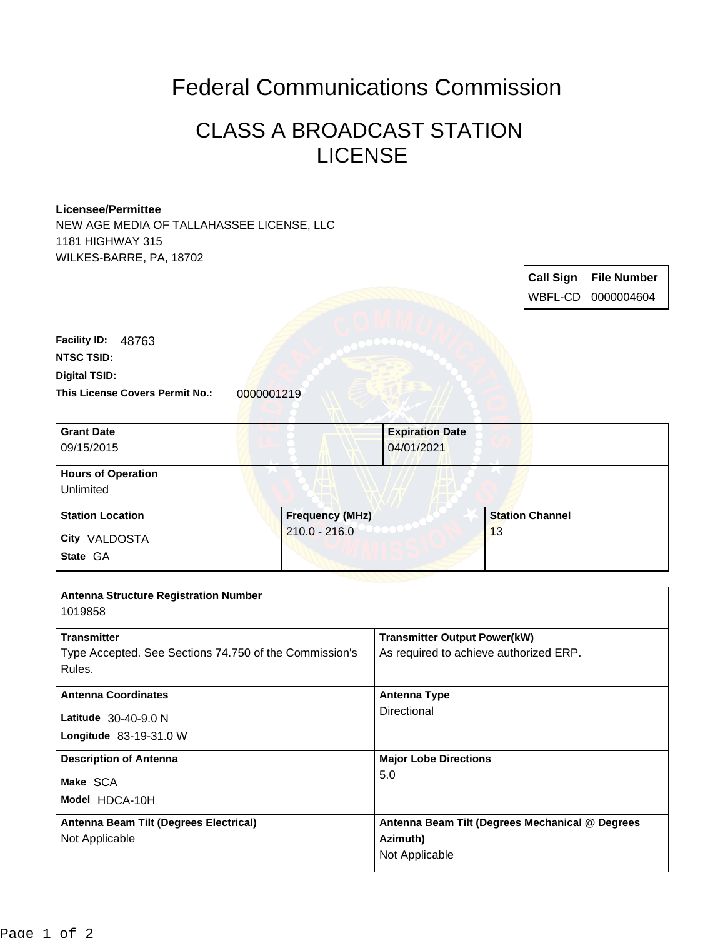## Federal Communications Commission

## CLASS A BROADCAST STATION LICENSE

## **Licensee/Permittee**

NEW AGE MEDIA OF TALLAHASSEE LICENSE, LLC 1181 HIGHWAY 315 WILKES-BARRE, PA, 18702

|                                                        |                        |                                                 |    | <b>Call Sign</b>       | <b>File Number</b> |
|--------------------------------------------------------|------------------------|-------------------------------------------------|----|------------------------|--------------------|
|                                                        |                        |                                                 |    | WBFL-CD                | 0000004604         |
|                                                        |                        |                                                 |    |                        |                    |
| Facility ID: 48763                                     |                        |                                                 |    |                        |                    |
| <b>NTSC TSID:</b>                                      |                        |                                                 |    |                        |                    |
| Digital TSID:                                          |                        |                                                 |    |                        |                    |
| <b>This License Covers Permit No.:</b><br>0000001219   |                        |                                                 |    |                        |                    |
| <b>Grant Date</b>                                      |                        |                                                 |    |                        |                    |
| 09/15/2015                                             |                        | <b>Expiration Date</b><br>04/01/2021            |    |                        |                    |
|                                                        |                        |                                                 |    |                        |                    |
| <b>Hours of Operation</b>                              |                        |                                                 |    |                        |                    |
| Unlimited                                              |                        |                                                 |    |                        |                    |
| <b>Station Location</b>                                | <b>Frequency (MHz)</b> |                                                 |    | <b>Station Channel</b> |                    |
| City VALDOSTA                                          | $210.0 - 216.0$        |                                                 | 13 |                        |                    |
| State GA                                               |                        |                                                 |    |                        |                    |
|                                                        |                        |                                                 |    |                        |                    |
| <b>Antenna Structure Registration Number</b>           |                        |                                                 |    |                        |                    |
| 1019858                                                |                        |                                                 |    |                        |                    |
| <b>Transmitter</b>                                     |                        | <b>Transmitter Output Power(kW)</b>             |    |                        |                    |
| Type Accepted. See Sections 74.750 of the Commission's |                        | As required to achieve authorized ERP.          |    |                        |                    |
| Rules.                                                 |                        |                                                 |    |                        |                    |
| <b>Antenna Coordinates</b>                             |                        | <b>Antenna Type</b>                             |    |                        |                    |
|                                                        |                        | <b>Directional</b>                              |    |                        |                    |
| Latitude 30-40-9.0 N<br>Longitude 83-19-31.0 W         |                        |                                                 |    |                        |                    |
|                                                        |                        |                                                 |    |                        |                    |
| <b>Description of Antenna</b>                          |                        | <b>Major Lobe Directions</b>                    |    |                        |                    |
| Make SCA                                               |                        | 5.0                                             |    |                        |                    |
| Model HDCA-10H                                         |                        |                                                 |    |                        |                    |
| Antenna Beam Tilt (Degrees Electrical)                 |                        | Antenna Beam Tilt (Degrees Mechanical @ Degrees |    |                        |                    |
| Not Applicable                                         |                        | Azimuth)                                        |    |                        |                    |
|                                                        |                        | Not Applicable                                  |    |                        |                    |
|                                                        |                        |                                                 |    |                        |                    |